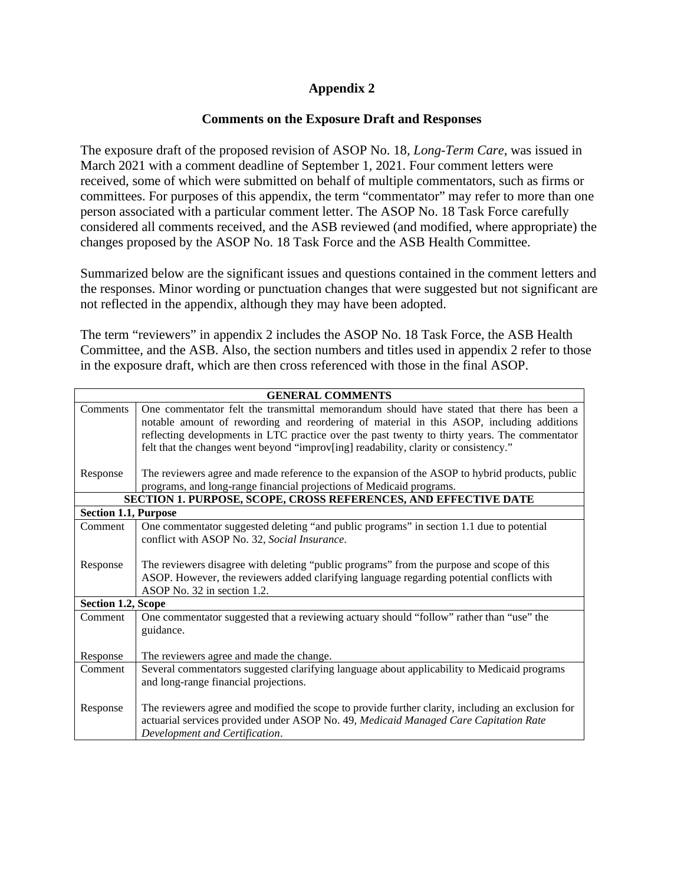## **Appendix 2**

## **Comments on the Exposure Draft and Responses**

The exposure draft of the proposed revision of ASOP No. 18, *Long-Term Care*, was issued in March 2021 with a comment deadline of September 1, 2021. Four comment letters were received, some of which were submitted on behalf of multiple commentators, such as firms or committees. For purposes of this appendix, the term "commentator" may refer to more than one person associated with a particular comment letter. The ASOP No. 18 Task Force carefully considered all comments received, and the ASB reviewed (and modified, where appropriate) the changes proposed by the ASOP No. 18 Task Force and the ASB Health Committee.

Summarized below are the significant issues and questions contained in the comment letters and the responses. Minor wording or punctuation changes that were suggested but not significant are not reflected in the appendix, although they may have been adopted.

The term "reviewers" in appendix 2 includes the ASOP No. 18 Task Force, the ASB Health Committee, and the ASB. Also, the section numbers and titles used in appendix 2 refer to those in the exposure draft, which are then cross referenced with those in the final ASOP.

| <b>GENERAL COMMENTS</b>                                         |                                                                                                                                                                                                                                                                                                                                                                               |
|-----------------------------------------------------------------|-------------------------------------------------------------------------------------------------------------------------------------------------------------------------------------------------------------------------------------------------------------------------------------------------------------------------------------------------------------------------------|
| Comments                                                        | One commentator felt the transmittal memorandum should have stated that there has been a<br>notable amount of rewording and reordering of material in this ASOP, including additions<br>reflecting developments in LTC practice over the past twenty to thirty years. The commentator<br>felt that the changes went beyond "improv[ing] readability, clarity or consistency." |
| Response                                                        | The reviewers agree and made reference to the expansion of the ASOP to hybrid products, public<br>programs, and long-range financial projections of Medicaid programs.                                                                                                                                                                                                        |
| SECTION 1. PURPOSE, SCOPE, CROSS REFERENCES, AND EFFECTIVE DATE |                                                                                                                                                                                                                                                                                                                                                                               |
| <b>Section 1.1, Purpose</b>                                     |                                                                                                                                                                                                                                                                                                                                                                               |
| Comment                                                         | One commentator suggested deleting "and public programs" in section 1.1 due to potential<br>conflict with ASOP No. 32, Social Insurance.                                                                                                                                                                                                                                      |
| Response                                                        | The reviewers disagree with deleting "public programs" from the purpose and scope of this<br>ASOP. However, the reviewers added clarifying language regarding potential conflicts with<br>ASOP No. 32 in section 1.2.                                                                                                                                                         |
| <b>Section 1.2, Scope</b>                                       |                                                                                                                                                                                                                                                                                                                                                                               |
| Comment                                                         | One commentator suggested that a reviewing actuary should "follow" rather than "use" the<br>guidance.                                                                                                                                                                                                                                                                         |
| Response                                                        | The reviewers agree and made the change.                                                                                                                                                                                                                                                                                                                                      |
| Comment                                                         | Several commentators suggested clarifying language about applicability to Medicaid programs<br>and long-range financial projections.                                                                                                                                                                                                                                          |
| Response                                                        | The reviewers agree and modified the scope to provide further clarity, including an exclusion for<br>actuarial services provided under ASOP No. 49, Medicaid Managed Care Capitation Rate<br>Development and Certification.                                                                                                                                                   |